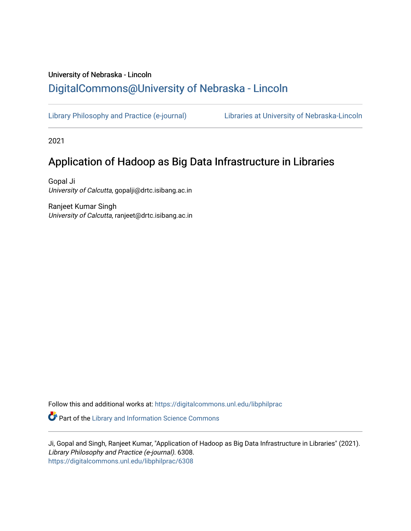## University of Nebraska - Lincoln [DigitalCommons@University of Nebraska - Lincoln](https://digitalcommons.unl.edu/)

[Library Philosophy and Practice \(e-journal\)](https://digitalcommons.unl.edu/libphilprac) [Libraries at University of Nebraska-Lincoln](https://digitalcommons.unl.edu/libraries) 

2021

## Application of Hadoop as Big Data Infrastructure in Libraries

Gopal Ji University of Calcutta, gopalji@drtc.isibang.ac.in

Ranjeet Kumar Singh University of Calcutta, ranjeet@drtc.isibang.ac.in

Follow this and additional works at: [https://digitalcommons.unl.edu/libphilprac](https://digitalcommons.unl.edu/libphilprac?utm_source=digitalcommons.unl.edu%2Flibphilprac%2F6308&utm_medium=PDF&utm_campaign=PDFCoverPages) 

**Part of the Library and Information Science Commons** 

Ji, Gopal and Singh, Ranjeet Kumar, "Application of Hadoop as Big Data Infrastructure in Libraries" (2021). Library Philosophy and Practice (e-journal). 6308. [https://digitalcommons.unl.edu/libphilprac/6308](https://digitalcommons.unl.edu/libphilprac/6308?utm_source=digitalcommons.unl.edu%2Flibphilprac%2F6308&utm_medium=PDF&utm_campaign=PDFCoverPages)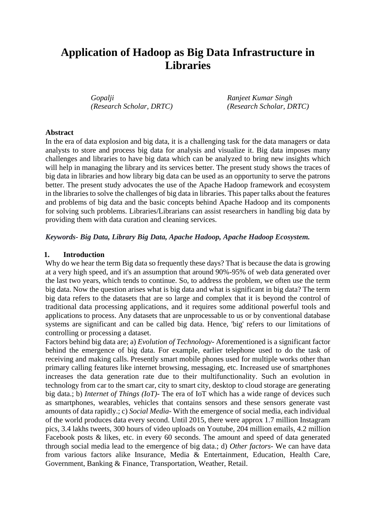# **Application of Hadoop as Big Data Infrastructure in Libraries**

*Gopalji Ranjeet Kumar Singh (Research Scholar, DRTC) (Research Scholar, DRTC)*

#### **Abstract**

In the era of data explosion and big data, it is a challenging task for the data managers or data analysts to store and process big data for analysis and visualize it. Big data imposes many challenges and libraries to have big data which can be analyzed to bring new insights which will help in managing the library and its services better. The present study shows the traces of big data in libraries and how library big data can be used as an opportunity to serve the patrons better. The present study advocates the use of the Apache Hadoop framework and ecosystem in the libraries to solve the challenges of big data in libraries. This paper talks about the features and problems of big data and the basic concepts behind Apache Hadoop and its components for solving such problems. Libraries/Librarians can assist researchers in handling big data by providing them with data curation and cleaning services.

#### *Keywords- Big Data, Library Big Data, Apache Hadoop, Apache Hadoop Ecosystem.*

#### **1. Introduction**

Why do we hear the term Big data so frequently these days? That is because the data is growing at a very high speed, and it's an assumption that around 90%-95% of web data generated over the last two years, which tends to continue. So, to address the problem, we often use the term big data. Now the question arises what is big data and what is significant in big data? The term big data refers to the datasets that are so large and complex that it is beyond the control of traditional data processing applications, and it requires some additional powerful tools and applications to process. Any datasets that are unprocessable to us or by conventional database systems are significant and can be called big data. Hence, 'big' refers to our limitations of controlling or processing a dataset.

Factors behind big data are; a) *Evolution of Technology*- Aforementioned is a significant factor behind the emergence of big data. For example, earlier telephone used to do the task of receiving and making calls. Presently smart mobile phones used for multiple works other than primary calling features like internet browsing, messaging, etc. Increased use of smartphones increases the data generation rate due to their multifunctionality. Such an evolution in technology from car to the smart car, city to smart city, desktop to cloud storage are generating big data.; b) *Internet of Things (IoT)*- The era of IoT which has a wide range of devices such as smartphones, wearables, vehicles that contains sensors and these sensors generate vast amounts of data rapidly.; c) *Social Media*- With the emergence of social media, each individual of the world produces data every second. Until 2015, there were approx 1.7 million Instagram pics, 3.4 lakhs tweets, 300 hours of video uploads on Youtube, 204 million emails, 4.2 million Facebook posts & likes, etc. in every 60 seconds. The amount and speed of data generated through social media lead to the emergence of big data.; d) *Other factors*- We can have data from various factors alike Insurance, Media & Entertainment, Education, Health Care, Government, Banking & Finance, Transportation, Weather, Retail.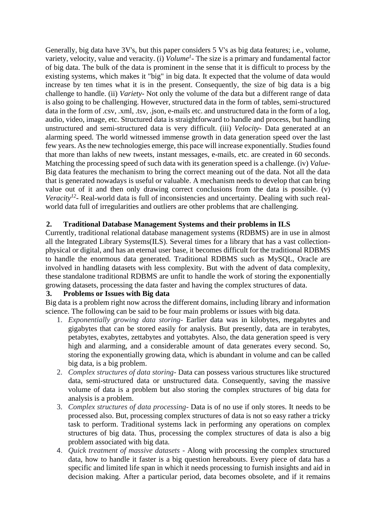Generally, big data have 3V's, but this paper considers 5 V's as big data features; i.e., volume, variety, velocity, value and veracity. (i) *Volume<sup>1</sup> -* The size is a primary and fundamental factor of big data. The bulk of the data is prominent in the sense that it is difficult to process by the existing systems, which makes it "big" in big data. It expected that the volume of data would increase by ten times what it is in the present. Consequently, the size of big data is a big challenge to handle. (ii) *Variety-* Not only the volume of the data but a different range of data is also going to be challenging. However, structured data in the form of tables, semi-structured data in the form of .csv, .xml, .tsv, .json, e-mails etc. and unstructured data in the form of a log, audio, video, image, etc. Structured data is straightforward to handle and process, but handling unstructured and semi-structured data is very difficult. (iii) *Velocity-* Data generated at an alarming speed. The world witnessed immense growth in data generation speed over the last few years. As the new technologies emerge, this pace will increase exponentially. Studies found that more than lakhs of new tweets, instant messages, e-mails, etc. are created in 60 seconds. Matching the processing speed of such data with its generation speed is a challenge. (iv) *Value-*Big data features the mechanism to bring the correct meaning out of the data. Not all the data that is generated nowadays is useful or valuable. A mechanism needs to develop that can bring value out of it and then only drawing correct conclusions from the data is possible. (v) Veracity<sup>12</sup> - Real-world data is full of inconsistencies and uncertainty. Dealing with such realworld data full of irregularities and outliers are other problems that are challenging.

## **2. Traditional Database Management Systems and their problems in ILS**

Currently, traditional relational database management systems (RDBMS) are in use in almost all the Integrated Library Systems(ILS). Several times for a library that has a vast collectionphysical or digital, and has an eternal user base, it becomes difficult for the traditional RDBMS to handle the enormous data generated. Traditional RDBMS such as MySQL, Oracle are involved in handling datasets with less complexity. But with the advent of data complexity, these standalone traditional RDBMS are unfit to handle the work of storing the exponentially growing datasets, processing the data faster and having the complex structures of data.

## **3. Problems or Issues with Big data**

Big data is a problem right now across the different domains, including library and information science. The following can be said to be four main problems or issues with big data.

- 1. *Exponentially growing data storing-* Earlier data was in kilobytes, megabytes and gigabytes that can be stored easily for analysis. But presently, data are in terabytes, petabytes, exabytes, zettabytes and yottabytes. Also, the data generation speed is very high and alarming, and a considerable amount of data generates every second. So, storing the exponentially growing data, which is abundant in volume and can be called big data, is a big problem.
- 2. *Complex structures of data storing-* Data can possess various structures like structured data, semi-structured data or unstructured data. Consequently, saving the massive volume of data is a problem but also storing the complex structures of big data for analysis is a problem.
- 3. *Complex structures of data processing-* Data is of no use if only stores. It needs to be processed also. But, processing complex structures of data is not so easy rather a tricky task to perform. Traditional systems lack in performing any operations on complex structures of big data. Thus, processing the complex structures of data is also a big problem associated with big data.
- 4. *Quick treatment of massive datasets -* Along with processing the complex structured data, how to handle it faster is a big question hereabouts. Every piece of data has a specific and limited life span in which it needs processing to furnish insights and aid in decision making. After a particular period, data becomes obsolete, and if it remains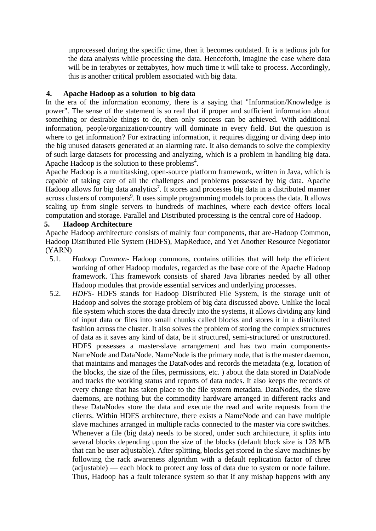unprocessed during the specific time, then it becomes outdated. It is a tedious job for the data analysts while processing the data. Henceforth, imagine the case where data will be in terabytes or zettabytes, how much time it will take to process. Accordingly, this is another critical problem associated with big data.

## **4. Apache Hadoop as a solution to big data**

In the era of the information economy, there is a saying that "Information/Knowledge is power". The sense of the statement is so real that if proper and sufficient information about something or desirable things to do, then only success can be achieved. With additional information, people/organization/country will dominate in every field. But the question is where to get information? For extracting information, it requires digging or diving deep into the big unused datasets generated at an alarming rate. It also demands to solve the complexity of such large datasets for processing and analyzing, which is a problem in handling big data. Apache Hadoop is the solution to these problems<sup>4</sup>.

Apache Hadoop is a multitasking, open-source platform framework, written in Java, which is capable of taking care of all the challenges and problems possessed by big data. Apache Hadoop allows for big data analytics<sup>7</sup>. It stores and processes big data in a distributed manner across clusters of computers<sup>9</sup>. It uses simple programming models to process the data. It allows scaling up from single servers to hundreds of machines, where each device offers local computation and storage. Parallel and Distributed processing is the central core of Hadoop.

## **5. Hadoop Architecture**

Apache Hadoop architecture consists of mainly four components, that are-Hadoop Common, Hadoop Distributed File System (HDFS), MapReduce, and Yet Another Resource Negotiator (YARN)

- 5.1. *Hadoop Common* Hadoop commons, contains utilities that will help the efficient working of other Hadoop modules, regarded as the base core of the Apache Hadoop framework. This framework consists of shared Java libraries needed by all other Hadoop modules that provide essential services and underlying processes.
- 5.2. *HDFS* HDFS stands for Hadoop Distributed File System, is the storage unit of Hadoop and solves the storage problem of big data discussed above. Unlike the local file system which stores the data directly into the systems, it allows dividing any kind of input data or files into small chunks called blocks and stores it in a distributed fashion across the cluster. It also solves the problem of storing the complex structures of data as it saves any kind of data, be it structured, semi-structured or unstructured. HDFS possesses a master-slave arrangement and has two main components-NameNode and DataNode. NameNode is the primary node, that is the master daemon, that maintains and manages the DataNodes and records the metadata (e.g. location of the blocks, the size of the files, permissions, etc. ) about the data stored in DataNode and tracks the working status and reports of data nodes. It also keeps the records of every change that has taken place to the file system metadata. DataNodes, the slave daemons, are nothing but the commodity hardware arranged in different racks and these DataNodes store the data and execute the read and write requests from the clients. Within HDFS architecture, there exists a NameNode and can have multiple slave machines arranged in multiple racks connected to the master via core switches. Whenever a file (big data) needs to be stored, under such architecture, it splits into several blocks depending upon the size of the blocks (default block size is 128 MB that can be user adjustable). After splitting, blocks get stored in the slave machines by following the rack awareness algorithm with a default replication factor of three (adjustable) — each block to protect any loss of data due to system or node failure. Thus, Hadoop has a fault tolerance system so that if any mishap happens with any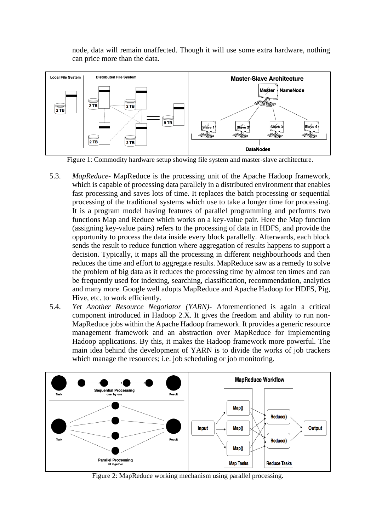node, data will remain unaffected. Though it will use some extra hardware, nothing can price more than the data.



Figure 1: Commodity hardware setup showing file system and master-slave architecture.

- 5.3. *MapReduce* MapReduce is the processing unit of the Apache Hadoop framework, which is capable of processing data parallely in a distributed environment that enables fast processing and saves lots of time. It replaces the batch processing or sequential processing of the traditional systems which use to take a longer time for processing. It is a program model having features of parallel programming and performs two functions Map and Reduce which works on a key-value pair. Here the Map function (assigning key-value pairs) refers to the processing of data in HDFS, and provide the opportunity to process the data inside every block parallelly. Afterwards, each block sends the result to reduce function where aggregation of results happens to support a decision. Typically, it maps all the processing in different neighbourhoods and then reduces the time and effort to aggregate results. MapReduce saw as a remedy to solve the problem of big data as it reduces the processing time by almost ten times and can be frequently used for indexing, searching, classification, recommendation, analytics and many more. Google well adopts MapReduce and Apache Hadoop for HDFS, Pig, Hive, etc. to work efficiently.
- 5.4. *Yet Another Resource Negotiator (YARN)-* Aforementioned is again a critical component introduced in Hadoop 2.X. It gives the freedom and ability to run non-MapReduce jobs within the Apache Hadoop framework. It provides a generic resource management framework and an abstraction over MapReduce for implementing Hadoop applications. By this, it makes the Hadoop framework more powerful. The main idea behind the development of YARN is to divide the works of job trackers which manage the resources; i.e. job scheduling or job monitoring.



Figure 2: MapReduce working mechanism using parallel processing.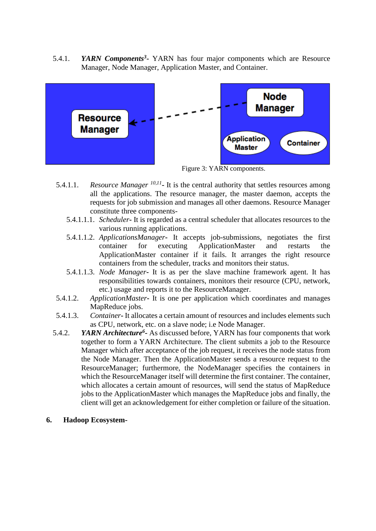5.4.1. *YARN Components*<sup>3</sup> YARN has four major components which are Resource Manager, Node Manager, Application Master, and Container.



Figure 3: YARN components.

- 5.4.1.1. *Resource Manager* <sup>10,11</sup> It is the central authority that settles resources among all the applications. The resource manager, the master daemon, accepts the requests for job submission and manages all other daemons. Resource Manager constitute three components-
	- 5.4.1.1.1. *Scheduler***-** It is regarded as a central scheduler that allocates resources to the various running applications.
	- 5.4.1.1.2. *ApplicationsManager***-** It accepts job-submissions, negotiates the first container for executing ApplicationMaster and restarts the ApplicationMaster container if it fails. It arranges the right resource containers from the scheduler, tracks and monitors their status.
	- 5.4.1.1.3. *Node Manager***-** It is as per the slave machine framework agent. It has responsibilities towards containers, monitors their resource (CPU, network, etc.) usage and reports it to the ResourceManager.
- 5.4.1.2. *ApplicationMaster***-** It is one per application which coordinates and manages MapReduce jobs.
- 5.4.1.3. *Container***-** It allocates a certain amount of resources and includes elements such as CPU, network, etc. on a slave node; i.e Node Manager.
- 5.4.2. *YARN Architecture*<sup>6</sup>- As discussed before, YARN has four components that work together to form a YARN Architecture. The client submits a job to the Resource Manager which after acceptance of the job request, it receives the node status from the Node Manager. Then the ApplicationMaster sends a resource request to the ResourceManager; furthermore, the NodeManager specifies the containers in which the ResourceManager itself will determine the first container. The container, which allocates a certain amount of resources, will send the status of MapReduce jobs to the ApplicationMaster which manages the MapReduce jobs and finally, the client will get an acknowledgement for either completion or failure of the situation.
- **6. Hadoop Ecosystem-**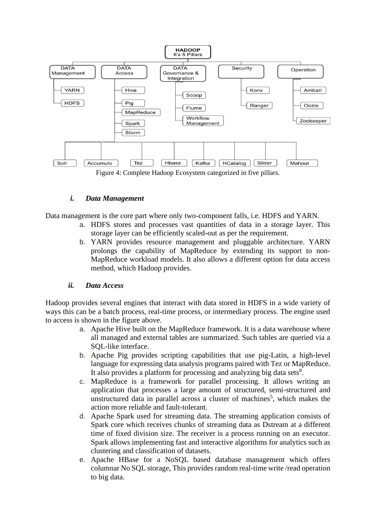

## *i. Data Management*

Data management is the core part where only two-component falls, i.e. HDFS and YARN.

- a. HDFS stores and processes vast quantities of data in a storage layer. This storage layer can be efficiently scaled-out as per the requirement.
- b. YARN provides resource management and pluggable architecture. YARN prolongs the capability of MapReduce by extending its support to non-MapReduce workload models. It also allows a different option for data access method, which Hadoop provides.

## *ii. Data Access*

Hadoop provides several engines that interact with data stored in HDFS in a wide variety of ways this can be a batch process, real-time process, or intermediary process. The engine used to access is shown in the figure above.

- a. Apache Hive built on the MapReduce framework. It is a data warehouse where all managed and external tables are summarized. Such tables are queried via a SQL-like interface.
- b. Apache Pig provides scripting capabilities that use pig-Latin, a high-level language for expressing data analysis programs paired with Tez or MapReduce. It also provides a platform for processing and analyzing big data sets $8$ .
- c. MapReduce is a framework for parallel processing. It allows writing an application that processes a large amount of structured, semi-structured and unstructured data in parallel across a cluster of machines<sup>5</sup>, which makes the action more reliable and fault-tolerant.
- d. Apache Spark used for streaming data. The streaming application consists of Spark core which receives chunks of streaming data as Dstream at a different time of fixed division size. The receiver is a process running on an executor. Spark allows implementing fast and interactive algorithms for analytics such as clustering and classification of datasets.
- e. Apache HBase for a NoSQL based database management which offers columnar No SQL storage, This provides random real-time write /read operation to big data.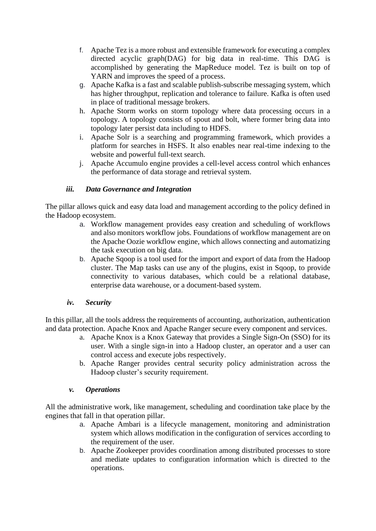- f. Apache Tez is a more robust and extensible framework for executing a complex directed acyclic graph(DAG) for big data in real-time. This DAG is accomplished by generating the MapReduce model. Tez is built on top of YARN and improves the speed of a process.
- g. Apache Kafka is a fast and scalable publish-subscribe messaging system, which has higher throughput, replication and tolerance to failure. Kafka is often used in place of traditional message brokers.
- h. Apache Storm works on storm topology where data processing occurs in a topology. A topology consists of spout and bolt, where former bring data into topology later persist data including to HDFS.
- i. Apache Solr is a searching and programming framework, which provides a platform for searches in HSFS. It also enables near real-time indexing to the website and powerful full-text search.
- j. Apache Accumulo engine provides a cell-level access control which enhances the performance of data storage and retrieval system.

## *iii. Data Governance and Integration*

The pillar allows quick and easy data load and management according to the policy defined in the Hadoop ecosystem.

- a. Workflow management provides easy creation and scheduling of workflows and also monitors workflow jobs. Foundations of workflow management are on the Apache Oozie workflow engine, which allows connecting and automatizing the task execution on big data.
- b. Apache Sqoop is a tool used for the import and export of data from the Hadoop cluster. The Map tasks can use any of the plugins, exist in Sqoop, to provide connectivity to various databases, which could be a relational database, enterprise data warehouse, or a document-based system.

## *iv. Security*

In this pillar, all the tools address the requirements of accounting, authorization, authentication and data protection. Apache Knox and Apache Ranger secure every component and services.

- a. Apache Knox is a Knox Gateway that provides a Single Sign-On (SSO) for its user. With a single sign-in into a Hadoop cluster, an operator and a user can control access and execute jobs respectively.
- b. Apache Ranger provides central security policy administration across the Hadoop cluster's security requirement.

## *v. Operations*

All the administrative work, like management, scheduling and coordination take place by the engines that fall in that operation pillar.

- a. Apache Ambari is a lifecycle management, monitoring and administration system which allows modification in the configuration of services according to the requirement of the user.
- b. Apache Zookeeper provides coordination among distributed processes to store and mediate updates to configuration information which is directed to the operations.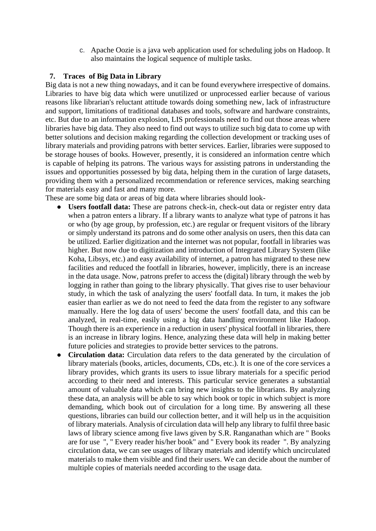c. Apache Oozie is a java web application used for scheduling jobs on Hadoop. It also maintains the logical sequence of multiple tasks.

#### **7. Traces of Big Data in Library**

Big data is not a new thing nowadays, and it can be found everywhere irrespective of domains. Libraries to have big data which were unutilized or unprocessed earlier because of various reasons like librarian's reluctant attitude towards doing something new, lack of infrastructure and support, limitations of traditional databases and tools, software and hardware constraints, etc. But due to an information explosion, LIS professionals need to find out those areas where libraries have big data. They also need to find out ways to utilize such big data to come up with better solutions and decision making regarding the collection development or tracking uses of library materials and providing patrons with better services. Earlier, libraries were supposed to be storage houses of books. However, presently, it is considered an information centre which is capable of helping its patrons. The various ways for assisting patrons in understanding the issues and opportunities possessed by big data, helping them in the curation of large datasets, providing them with a personalized recommendation or reference services, making searching for materials easy and fast and many more.

These are some big data or areas of big data where libraries should look-

- **Users footfall data:** These are patrons check-in, check-out data or register entry data when a patron enters a library. If a library wants to analyze what type of patrons it has or who (by age group, by profession, etc.) are regular or frequent visitors of the library or simply understand its patrons and do some other analysis on users, then this data can be utilized. Earlier digitization and the internet was not popular, footfall in libraries was higher. But now due to digitization and introduction of Integrated Library System (like Koha, Libsys, etc.) and easy availability of internet, a patron has migrated to these new facilities and reduced the footfall in libraries, however, implicitly, there is an increase in the data usage. Now, patrons prefer to access the (digital) library through the web by logging in rather than going to the library physically. That gives rise to user behaviour study, in which the task of analyzing the users' footfall data. In turn, it makes the job easier than earlier as we do not need to feed the data from the register to any software manually. Here the log data of users' become the users' footfall data, and this can be analyzed, in real-time, easily using a big data handling environment like Hadoop. Though there is an experience in a reduction in users' physical footfall in libraries, there is an increase in library logins. Hence, analyzing these data will help in making better future policies and strategies to provide better services to the patrons.
- **Circulation data:** Circulation data refers to the data generated by the circulation of library materials (books, articles, documents, CDs, etc.). It is one of the core services a library provides, which grants its users to issue library materials for a specific period according to their need and interests. This particular service generates a substantial amount of valuable data which can bring new insights to the librarians. By analyzing these data, an analysis will be able to say which book or topic in which subject is more demanding, which book out of circulation for a long time. By answering all these questions, libraries can build our collection better, and it will help us in the acquisition of library materials. Analysis of circulation data will help any library to fulfil three basic laws of library science among five laws given by S.R. Ranganathan which are " Books are for use ", " Every reader his/her book" and " Every book its reader ". By analyzing circulation data, we can see usages of library materials and identify which uncirculated materials to make them visible and find their users. We can decide about the number of multiple copies of materials needed according to the usage data.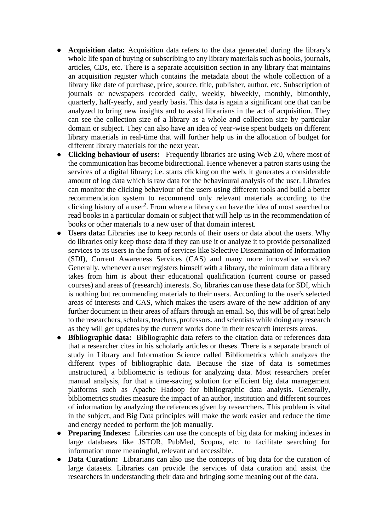- **Acquisition data:** Acquisition data refers to the data generated during the library's whole life span of buying or subscribing to any library materials such as books, journals, articles, CDs, etc. There is a separate acquisition section in any library that maintains an acquisition register which contains the metadata about the whole collection of a library like date of purchase, price, source, title, publisher, author, etc. Subscription of journals or newspapers recorded daily, weekly, biweekly, monthly, bimonthly, quarterly, half-yearly, and yearly basis. This data is again a significant one that can be analyzed to bring new insights and to assist librarians in the act of acquisition. They can see the collection size of a library as a whole and collection size by particular domain or subject. They can also have an idea of year-wise spent budgets on different library materials in real-time that will further help us in the allocation of budget for different library materials for the next year.
- **Clicking behaviour of users:** Frequently libraries are using Web 2.0, where most of the communication has become bidirectional. Hence whenever a patron starts using the services of a digital library; i.e. starts clicking on the web, it generates a considerable amount of log data which is raw data for the behavioural analysis of the user. Libraries can monitor the clicking behaviour of the users using different tools and build a better recommendation system to recommend only relevant materials according to the clicking history of a user<sup>2</sup>. From where a library can have the idea of most searched or read books in a particular domain or subject that will help us in the recommendation of books or other materials to a new user of that domain interest.
- **Users data:** Libraries use to keep records of their users or data about the users. Why do libraries only keep those data if they can use it or analyze it to provide personalized services to its users in the form of services like Selective Dissemination of Information (SDI), Current Awareness Services (CAS) and many more innovative services? Generally, whenever a user registers himself with a library, the minimum data a library takes from him is about their educational qualification (current course or passed courses) and areas of (research) interests. So, libraries can use these data for SDI, which is nothing but recommending materials to their users. According to the user's selected areas of interests and CAS, which makes the users aware of the new addition of any further document in their areas of affairs through an email. So, this will be of great help to the researchers, scholars, teachers, professors, and scientists while doing any research as they will get updates by the current works done in their research interests areas.
- **Bibliographic data:** Bibliographic data refers to the citation data or references data that a researcher cites in his scholarly articles or theses. There is a separate branch of study in Library and Information Science called Bibliometrics which analyzes the different types of bibliographic data. Because the size of data is sometimes unstructured, a bibliometric is tedious for analyzing data. Most researchers prefer manual analysis, for that a time-saving solution for efficient big data management platforms such as Apache Hadoop for bibliographic data analysis. Generally, bibliometrics studies measure the impact of an author, institution and different sources of information by analyzing the references given by researchers. This problem is vital in the subject, and Big Data principles will make the work easier and reduce the time and energy needed to perform the job manually.
- **Preparing Indexes:** Libraries can use the concepts of big data for making indexes in large databases like JSTOR, PubMed, Scopus, etc. to facilitate searching for information more meaningful, relevant and accessible.
- **Data Curation:** Librarians can also use the concepts of big data for the curation of large datasets. Libraries can provide the services of data curation and assist the researchers in understanding their data and bringing some meaning out of the data.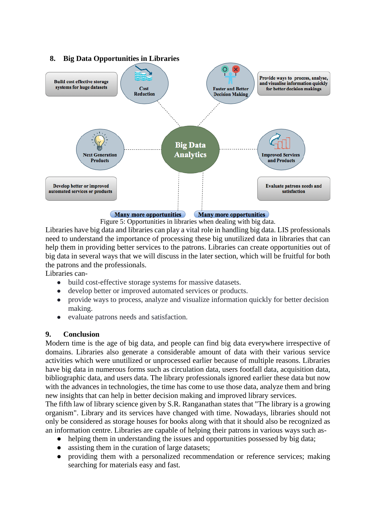

Many more opportunities Many more opportunities

Figure 5: Opportunities in libraries when dealing with big data.

Libraries have big data and libraries can play a vital role in handling big data. LIS professionals need to understand the importance of processing these big unutilized data in libraries that can help them in providing better services to the patrons. Libraries can create opportunities out of big data in several ways that we will discuss in the later section, which will be fruitful for both the patrons and the professionals.

Libraries can-

- build cost-effective storage systems for massive datasets.
- develop better or improved automated services or products.
- provide ways to process, analyze and visualize information quickly for better decision making.
- evaluate patrons needs and satisfaction.

## **9. Conclusion**

Modern time is the age of big data, and people can find big data everywhere irrespective of domains. Libraries also generate a considerable amount of data with their various service activities which were unutilized or unprocessed earlier because of multiple reasons. Libraries have big data in numerous forms such as circulation data, users footfall data, acquisition data, bibliographic data, and users data. The library professionals ignored earlier these data but now with the advances in technologies, the time has come to use those data, analyze them and bring new insights that can help in better decision making and improved library services.

The fifth law of library science given by S.R. Ranganathan states that "The library is a growing organism". Library and its services have changed with time. Nowadays, libraries should not only be considered as storage houses for books along with that it should also be recognized as an information centre. Libraries are capable of helping their patrons in various ways such as-

- helping them in understanding the issues and opportunities possessed by big data;
- assisting them in the curation of large datasets;
- providing them with a personalized recommendation or reference services; making searching for materials easy and fast.